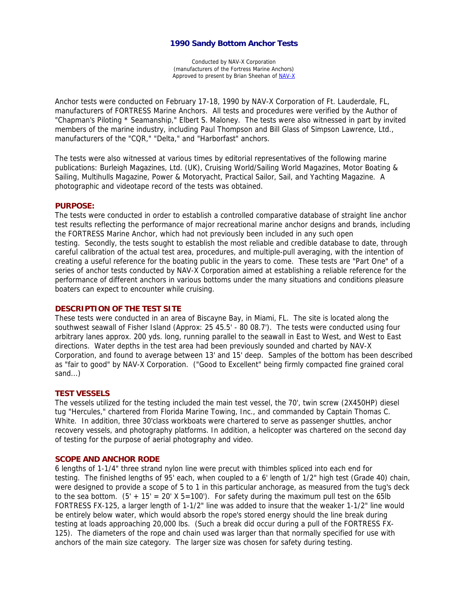# **1990 Sandy Bottom Anchor Tests**

Conducted by NAV-X Corporation (manufacturers of the Fortress Marine Anchors) Approved to present by Brian Sheehan of NAV-X

Anchor tests were conducted on February 17-18, 1990 by NAV-X Corporation of Ft. Lauderdale, FL, manufacturers of FORTRESS Marine Anchors. All tests and procedures were verified by the Author of "Chapman's Piloting \* Seamanship," Elbert S. Maloney. The tests were also witnessed in part by invited members of the marine industry, including Paul Thompson and Bill Glass of Simpson Lawrence, Ltd., manufacturers of the "CQR," "Delta," and "Harborfast" anchors.

The tests were also witnessed at various times by editorial representatives of the following marine publications: Burleigh Magazines, Ltd. (UK), Cruising World/Sailing World Magazines, Motor Boating & Sailing, Multihulls Magazine, Power & Motoryacht, Practical Sailor, Sail, and Yachting Magazine. A photographic and videotape record of the tests was obtained.

# **PURPOSE:**

The tests were conducted in order to establish a controlled comparative database of straight line anchor test results reflecting the performance of major recreational marine anchor designs and brands, including the FORTRESS Marine Anchor, which had not previously been included in any such open testing. Secondly, the tests sought to establish the most reliable and credible database to date, through careful calibration of the actual test area, procedures, and multiple-pull averaging, with the intention of creating a useful reference for the boating public in the years to come. These tests are "Part One" of a series of anchor tests conducted by NAV-X Corporation aimed at establishing a reliable reference for the performance of different anchors in various bottoms under the many situations and conditions pleasure boaters can expect to encounter while cruising.

## **DESCRIPTION OF THE TEST SITE**

These tests were conducted in an area of Biscayne Bay, in Miami, FL. The site is located along the southwest seawall of Fisher Island (Approx: 25 45.5' - 80 08.7'). The tests were conducted using four arbitrary lanes approx. 200 yds. long, running parallel to the seawall in East to West, and West to East directions. Water depths in the test area had been previously sounded and charted by NAV-X Corporation, and found to average between 13' and 15' deep. Samples of the bottom has been described as "fair to good" by NAV-X Corporation. ("Good to Excellent" being firmly compacted fine grained coral sand...)

# **TEST VESSELS**

The vessels utilized for the testing included the main test vessel, the 70', twin screw (2X450HP) diesel tug "Hercules," chartered from Florida Marine Towing, Inc., and commanded by Captain Thomas C. White. In addition, three 30'class workboats were chartered to serve as passenger shuttles, anchor recovery vessels, and photography platforms. In addition, a helicopter was chartered on the second day of testing for the purpose of aerial photography and video.

## **SCOPE AND ANCHOR RODE**

6 lengths of 1-1/4" three strand nylon line were precut with thimbles spliced into each end for testing. The finished lengths of 95' each, when coupled to a 6' length of 1/2" high test (Grade 40) chain, were designed to provide a scope of 5 to 1 in this particular anchorage, as measured from the tug's deck to the sea bottom.  $(5' + 15' = 20' \times 5 = 100')$ . For safety during the maximum pull test on the 65lb FORTRESS FX-125, a larger length of 1-1/2" line was added to insure that the weaker 1-1/2" line would be entirely below water, which would absorb the rope's stored energy should the line break during testing at loads approaching 20,000 lbs. (Such a break did occur during a pull of the FORTRESS FX-125). The diameters of the rope and chain used was larger than that normally specified for use with anchors of the main size category. The larger size was chosen for safety during testing.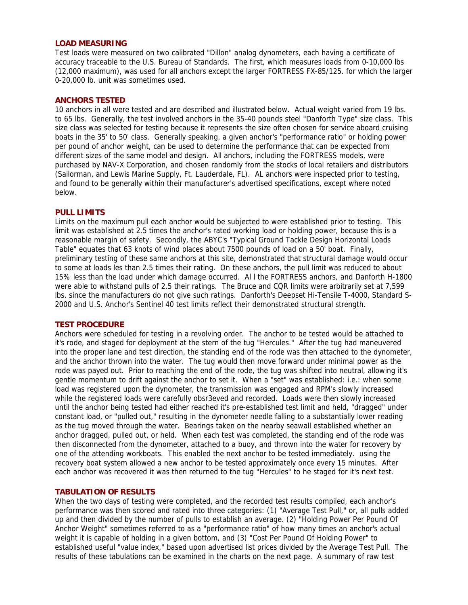## **LOAD MEASURING**

Test loads were measured on two calibrated "Dillon" analog dynometers, each having a certificate of accuracy traceable to the U.S. Bureau of Standards. The first, which measures loads from 0-10,000 lbs (12,000 maximum), was used for all anchors except the larger FORTRESS FX-85/125. for which the larger 0-20,000 lb. unit was sometimes used.

# **ANCHORS TESTED**

10 anchors in all were tested and are described and illustrated below. Actual weight varied from 19 lbs. to 65 lbs. Generally, the test involved anchors in the 35-40 pounds steel "Danforth Type" size class. This size class was selected for testing because it represents the size often chosen for service aboard cruising boats in the 35' to 50' class. Generally speaking, a given anchor's "performance ratio" or holding power per pound of anchor weight, can be used to determine the performance that can be expected from different sizes of the same model and design. All anchors, including the FORTRESS models, were purchased by NAV-X Corporation, and chosen randomly from the stocks of local retailers and distributors (Sailorman, and Lewis Marine Supply, Ft. Lauderdale, FL). AL anchors were inspected prior to testing, and found to be generally within their manufacturer's advertised specifications, except where noted below.

## **PULL LIMITS**

Limits on the maximum pull each anchor would be subjected to were established prior to testing. This limit was established at 2.5 times the anchor's rated working load or holding power, because this is a reasonable margin of safety. Secondly, the ABYC's "Typical Ground Tackle Design Horizontal Loads Table" equates that 63 knots of wind places about 7500 pounds of load on a 50' boat. Finally, preliminary testing of these same anchors at this site, demonstrated that structural damage would occur to some at loads les than 2.5 times their rating. On these anchors, the pull limit was reduced to about 15% less than the load under which damage occurred. Al l the FORTRESS anchors, and Danforth H-1800 were able to withstand pulls of 2.5 their ratings. The Bruce and CQR limits were arbitrarily set at 7,599 lbs. since the manufacturers do not give such ratings. Danforth's Deepset Hi-Tensile T-4000, Standard S-2000 and U.S. Anchor's Sentinel 40 test limits reflect their demonstrated structural strength.

## **TEST PROCEDURE**

Anchors were scheduled for testing in a revolving order. The anchor to be tested would be attached to it's rode, and staged for deployment at the stern of the tug "Hercules." After the tug had maneuvered into the proper lane and test direction, the standing end of the rode was then attached to the dynometer, and the anchor thrown into the water. The tug would then move forward under minimal power as the rode was payed out. Prior to reaching the end of the rode, the tug was shifted into neutral, allowing it's gentle momentum to drift against the anchor to set it. When a "set" was established: i.e.: when some load was registered upon the dynometer, the transmission was engaged and RPM's slowly increased while the registered loads were carefully obsr3eved and recorded. Loads were then slowly increased until the anchor being tested had either reached it's pre-established test limit and held, "dragged" under constant load, or "pulled out," resulting in the dynometer needle falling to a substantially lower reading as the tug moved through the water. Bearings taken on the nearby seawall established whether an anchor dragged, pulled out, or held. When each test was completed, the standing end of the rode was then disconnected from the dynometer, attached to a buoy, and thrown into the water for recovery by one of the attending workboats. This enabled the next anchor to be tested immediately. using the recovery boat system allowed a new anchor to be tested approximately once every 15 minutes. After each anchor was recovered it was then returned to the tug "Hercules" to he staged for it's next test.

# **TABULATION OF RESULTS**

When the two days of testing were completed, and the recorded test results compiled, each anchor's performance was then scored and rated into three categories: (1) "Average Test Pull," or, all pulls added up and then divided by the number of pulls to establish an average. (2) "Holding Power Per Pound Of Anchor Weight" sometimes referred to as a "performance ratio" of how many times an anchor's actual weight it is capable of holding in a given bottom, and (3) "Cost Per Pound Of Holding Power" to established useful "value index," based upon advertised list prices divided by the Average Test Pull. The results of these tabulations can be examined in the charts on the next page. A summary of raw test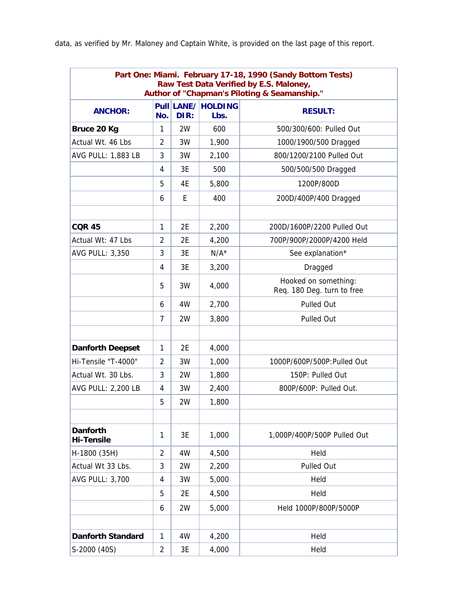data, as verified by Mr. Maloney and Captain White, is provided on the last page of this report.

| Part One: Miami. February 17-18, 1990 (Sandy Bottom Tests)<br>Raw Test Data Verified by E.S. Maloney,<br>Author of "Chapman's Piloting & Seamanship." |                |      |                            |                                                    |  |  |  |  |
|-------------------------------------------------------------------------------------------------------------------------------------------------------|----------------|------|----------------------------|----------------------------------------------------|--|--|--|--|
| <b>ANCHOR:</b>                                                                                                                                        | No.            | DIR: | Pull LANE/ HOLDING<br>Lbs. | <b>RESULT:</b>                                     |  |  |  |  |
| Bruce 20 Kg                                                                                                                                           | 1              | 2W   | 600                        | 500/300/600: Pulled Out                            |  |  |  |  |
| Actual Wt. 46 Lbs                                                                                                                                     | 2              | 3W   | 1,900                      | 1000/1900/500 Dragged                              |  |  |  |  |
| <b>AVG PULL: 1,883 LB</b>                                                                                                                             | 3              | 3W   | 2,100                      | 800/1200/2100 Pulled Out                           |  |  |  |  |
|                                                                                                                                                       | 4              | 3E   | 500                        | 500/500/500 Dragged                                |  |  |  |  |
|                                                                                                                                                       | 5              | 4Ε   | 5,800                      | 1200P/800D                                         |  |  |  |  |
|                                                                                                                                                       | 6              | E.   | 400                        | 200D/400P/400 Dragged                              |  |  |  |  |
|                                                                                                                                                       |                |      |                            |                                                    |  |  |  |  |
| <b>COR 45</b>                                                                                                                                         | 1              | 2E   | 2,200                      | 200D/1600P/2200 Pulled Out                         |  |  |  |  |
| Actual Wt: 47 Lbs                                                                                                                                     | $\overline{2}$ | 2E   | 4,200                      | 700P/900P/2000P/4200 Held                          |  |  |  |  |
| AVG PULL: 3,350                                                                                                                                       | 3              | 3E   | $N/A^*$                    | See explanation*                                   |  |  |  |  |
|                                                                                                                                                       | 4              | 3E   | 3,200                      | Dragged                                            |  |  |  |  |
|                                                                                                                                                       | 5              | 3W   | 4,000                      | Hooked on something:<br>Req. 180 Deg. turn to free |  |  |  |  |
|                                                                                                                                                       | 6              | 4W   | 2,700                      | Pulled Out                                         |  |  |  |  |
|                                                                                                                                                       | $\overline{7}$ | 2W   | 3,800                      | <b>Pulled Out</b>                                  |  |  |  |  |
|                                                                                                                                                       |                |      |                            |                                                    |  |  |  |  |
| <b>Danforth Deepset</b>                                                                                                                               | 1              | 2E   | 4,000                      |                                                    |  |  |  |  |
| Hi-Tensile "T-4000"                                                                                                                                   | $\overline{2}$ | 3W   | 1,000                      | 1000P/600P/500P:Pulled Out                         |  |  |  |  |
| Actual Wt. 30 Lbs.                                                                                                                                    | 3              | 2W   | 1,800                      | 150P: Pulled Out                                   |  |  |  |  |
| <b>AVG PULL: 2,200 LB</b>                                                                                                                             | 4              | 3W   | 2,400                      | 800P/600P: Pulled Out.                             |  |  |  |  |
|                                                                                                                                                       | 5              | 2W   | 1,800                      |                                                    |  |  |  |  |
|                                                                                                                                                       |                |      |                            |                                                    |  |  |  |  |
| <b>Danforth</b><br><b>Hi-Tensile</b>                                                                                                                  | 1              | 3E   | 1,000                      | 1,000P/400P/500P Pulled Out                        |  |  |  |  |
| H-1800 (35H)                                                                                                                                          | 2              | 4W   | 4,500                      | Held                                               |  |  |  |  |
| Actual Wt 33 Lbs.                                                                                                                                     | 3              | 2W   | 2,200                      | Pulled Out                                         |  |  |  |  |
| <b>AVG PULL: 3,700</b>                                                                                                                                | 4              | 3W   | 5,000                      | Held                                               |  |  |  |  |
|                                                                                                                                                       | 5              | 2E   | 4,500                      | Held                                               |  |  |  |  |
|                                                                                                                                                       | 6              | 2W   | 5,000                      | Held 1000P/800P/5000P                              |  |  |  |  |
|                                                                                                                                                       |                |      |                            |                                                    |  |  |  |  |
| <b>Danforth Standard</b>                                                                                                                              | 1              | 4W   | 4,200                      | Held                                               |  |  |  |  |
| S-2000 (40S)                                                                                                                                          | $\overline{2}$ | 3E   | 4,000                      | Held                                               |  |  |  |  |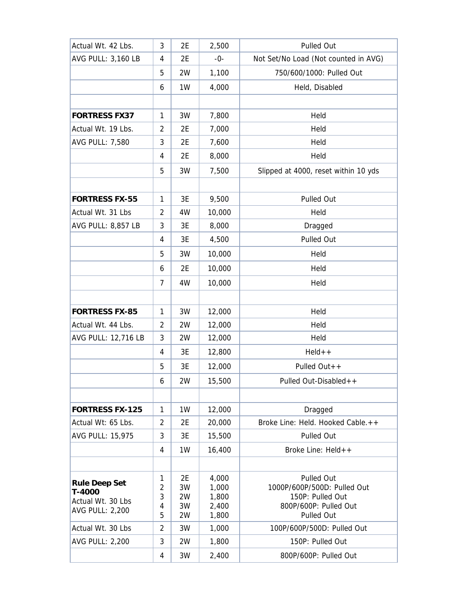| Actual Wt. 42 Lbs.        | 3              | 2E       | 2,500          | Pulled Out                                      |
|---------------------------|----------------|----------|----------------|-------------------------------------------------|
| <b>AVG PULL: 3,160 LB</b> | 4              | 2E       | -0-            | Not Set/No Load (Not counted in AVG)            |
|                           | 5              | 2W       | 1,100          | 750/600/1000: Pulled Out                        |
|                           | 6              | 1W       | 4,000          | Held, Disabled                                  |
|                           |                |          |                |                                                 |
| <b>FORTRESS FX37</b>      | $\mathbf{1}$   | 3W       | 7,800          | Held                                            |
| Actual Wt. 19 Lbs.        | 2              | 2E       | 7,000          | Held                                            |
| <b>AVG PULL: 7,580</b>    | 3              | 2E       | 7,600          | Held                                            |
|                           | 4              | 2E       | 8,000          | Held                                            |
|                           | 5              | 3W       | 7,500          | Slipped at 4000, reset within 10 yds            |
|                           |                |          |                |                                                 |
| <b>FORTRESS FX-55</b>     | 1              | 3E       | 9,500          | Pulled Out                                      |
| Actual Wt. 31 Lbs         | 2              | 4W       | 10,000         | Held                                            |
| AVG PULL: 8,857 LB        | 3              | 3E       | 8,000          | Dragged                                         |
|                           | 4              | 3E       | 4,500          | Pulled Out                                      |
|                           | 5              | 3W       | 10,000         | Held                                            |
|                           | 6              | 2E       | 10,000         | Held                                            |
|                           | 7              | 4W       | 10,000         | Held                                            |
|                           |                |          |                |                                                 |
| <b>FORTRESS FX-85</b>     | 1              | 3W       | 12,000         | Held                                            |
| Actual Wt. 44 Lbs.        | 2              | 2W       | 12,000         | Held                                            |
| AVG PULL: 12,716 LB       | 3              | 2W       | 12,000         | Held                                            |
|                           | 4              | 3E       | 12,800         | $HeId++$                                        |
|                           | 5              | 3E       | 12,000         | Pulled Out++                                    |
|                           | 6              | 2W       | 15,500         | Pulled Out-Disabled++                           |
|                           |                |          |                |                                                 |
| <b>FORTRESS FX-125</b>    | $\mathbf{1}$   | 1W       | 12,000         | Dragged                                         |
| Actual Wt: 65 Lbs.        | $\overline{2}$ | 2E       | 20,000         | Broke Line: Held. Hooked Cable.++               |
| <b>AVG PULL: 15,975</b>   | 3              | 3E       | 15,500         | Pulled Out                                      |
|                           | 4              | 1W       | 16,400         | Broke Line: Held++                              |
|                           |                |          |                |                                                 |
| <b>Rule Deep Set</b>      | 1              | 2E       | 4,000          | Pulled Out                                      |
| T-4000                    | 2<br>3         | 3W<br>2W | 1,000<br>1,800 | 1000P/600P/500D: Pulled Out<br>150P: Pulled Out |
| Actual Wt. 30 Lbs         | 4              | 3W       | 2,400          | 800P/600P: Pulled Out                           |
| <b>AVG PULL: 2,200</b>    | 5              | 2W       | 1,800          | Pulled Out                                      |
| Actual Wt. 30 Lbs         | $\overline{2}$ | 3W       | 1,000          | 100P/600P/500D: Pulled Out                      |
| <b>AVG PULL: 2,200</b>    | 3              | 2W       | 1,800          | 150P: Pulled Out                                |
|                           | 4              | 3W       | 2,400          | 800P/600P: Pulled Out                           |